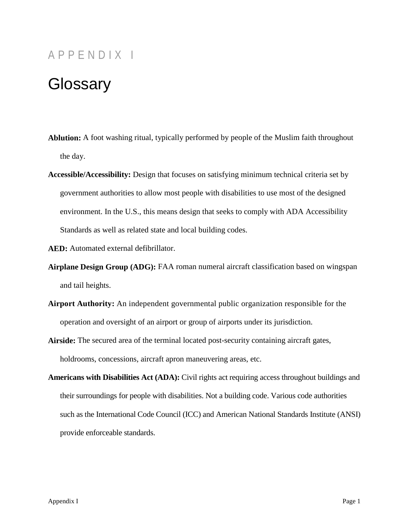## APPENDIX I

## **Glossary**

- **Ablution:** A foot washing ritual, typically performed by people of the Muslim faith throughout the day.
- **Accessible/Accessibility:** Design that focuses on satisfying minimum technical criteria set by government authorities to allow most people with disabilities to use most of the designed environment. In the U.S., this means design that seeks to comply with ADA Accessibility Standards as well as related state and local building codes.
- **AED:** Automated external defibrillator.
- **Airplane Design Group (ADG):** FAA roman numeral aircraft classification based on wingspan and tail heights.
- **Airport Authority:** An independent governmental public organization responsible for the operation and oversight of an airport or group of airports under its jurisdiction.
- **Airside:** The secured area of the terminal located post-security containing aircraft gates, holdrooms, concessions, aircraft apron maneuvering areas, etc.
- **Americans with Disabilities Act (ADA):** Civil rights act requiring access throughout buildings and their surroundings for people with disabilities. Not a building code. Various code authorities such as the International Code Council (ICC) and American National Standards Institute (ANSI) provide enforceable standards.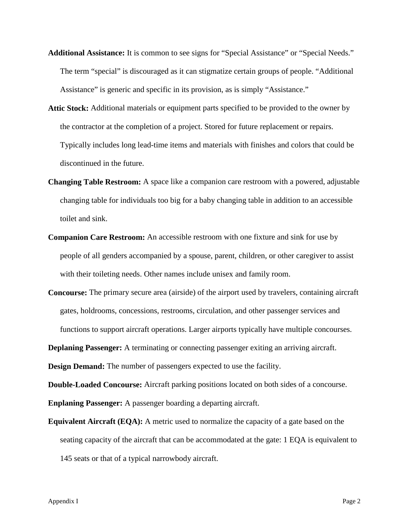- **Additional Assistance:** It is common to see signs for "Special Assistance" or "Special Needs." The term "special" is discouraged as it can stigmatize certain groups of people. "Additional Assistance" is generic and specific in its provision, as is simply "Assistance."
- **Attic Stock:** Additional materials or equipment parts specified to be provided to the owner by the contractor at the completion of a project. Stored for future replacement or repairs. Typically includes long lead-time items and materials with finishes and colors that could be discontinued in the future.
- **Changing Table Restroom:** A space like a companion care restroom with a powered, adjustable changing table for individuals too big for a baby changing table in addition to an accessible toilet and sink.
- **Companion Care Restroom:** An accessible restroom with one fixture and sink for use by people of all genders accompanied by a spouse, parent, children, or other caregiver to assist with their toileting needs. Other names include unisex and family room.
- **Concourse:** The primary secure area (airside) of the airport used by travelers, containing aircraft gates, holdrooms, concessions, restrooms, circulation, and other passenger services and functions to support aircraft operations. Larger airports typically have multiple concourses.

**Deplaning Passenger:** A terminating or connecting passenger exiting an arriving aircraft.

**Design Demand:** The number of passengers expected to use the facility.

**Double-Loaded Concourse:** Aircraft parking positions located on both sides of a concourse. **Enplaning Passenger:** A passenger boarding a departing aircraft.

**Equivalent Aircraft (EQA):** A metric used to normalize the capacity of a gate based on the seating capacity of the aircraft that can be accommodated at the gate: 1 EQA is equivalent to 145 seats or that of a typical narrowbody aircraft.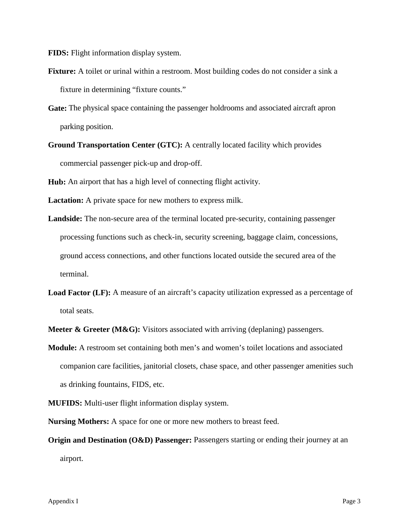**FIDS:** Flight information display system.

- **Fixture:** A toilet or urinal within a restroom. Most building codes do not consider a sink a fixture in determining "fixture counts."
- **Gate:** The physical space containing the passenger holdrooms and associated aircraft apron parking position.
- **Ground Transportation Center (GTC):** A centrally located facility which provides commercial passenger pick-up and drop-off.

**Hub:** An airport that has a high level of connecting flight activity.

**Lactation:** A private space for new mothers to express milk.

- **Landside:** The non-secure area of the terminal located pre-security, containing passenger processing functions such as check-in, security screening, baggage claim, concessions, ground access connections, and other functions located outside the secured area of the terminal.
- **Load Factor (LF):** A measure of an aircraft's capacity utilization expressed as a percentage of total seats.

**Meeter & Greeter (M&G):** Visitors associated with arriving (deplaning) passengers.

- **Module:** A restroom set containing both men's and women's toilet locations and associated companion care facilities, janitorial closets, chase space, and other passenger amenities such as drinking fountains, FIDS, etc.
- **MUFIDS:** Multi-user flight information display system.

**Nursing Mothers:** A space for one or more new mothers to breast feed.

**Origin and Destination (O&D) Passenger:** Passengers starting or ending their journey at an airport.